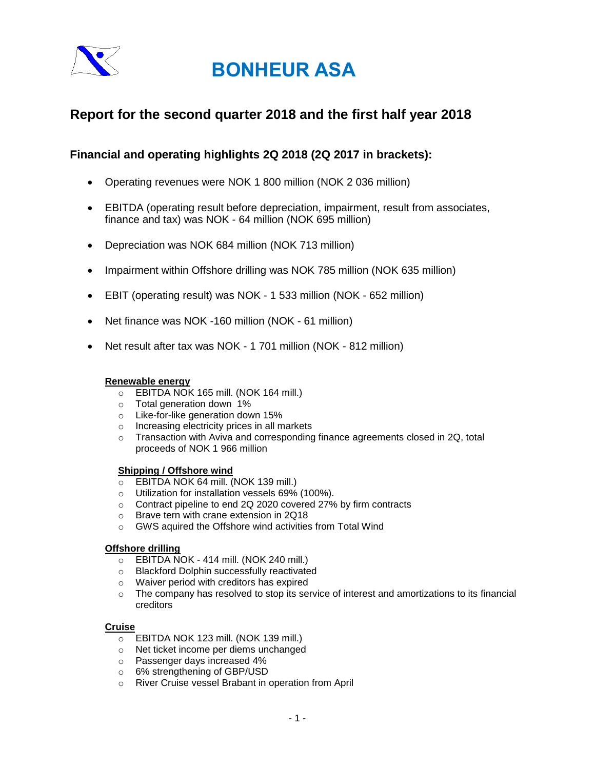

## **Report for the second quarter 2018 and the first half year 2018**

## **Financial and operating highlights 2Q 2018 (2Q 2017 in brackets):**

- Operating revenues were NOK 1 800 million (NOK 2 036 million)
- EBITDA (operating result before depreciation, impairment, result from associates, finance and tax) was NOK - 64 million (NOK 695 million)
- Depreciation was NOK 684 million (NOK 713 million)
- Impairment within Offshore drilling was NOK 785 million (NOK 635 million)
- EBIT (operating result) was NOK 1 533 million (NOK 652 million)
- Net finance was NOK -160 million (NOK 61 million)
- Net result after tax was NOK 1 701 million (NOK 812 million)

### **Renewable energy**

- o EBITDA NOK 165 mill. (NOK 164 mill.)
- o Total generation down 1%
- o Like-for-like generation down 15%
- o Increasing electricity prices in all markets
- o Transaction with Aviva and corresponding finance agreements closed in 2Q, total proceeds of NOK 1 966 million

### **Shipping / Offshore wind**

- o EBITDA NOK 64 mill. (NOK 139 mill.)
- o Utilization for installation vessels 69% (100%).
- o Contract pipeline to end 2Q 2020 covered 27% by firm contracts
- o Brave tern with crane extension in 2Q18
- o GWS aquired the Offshore wind activities from Total Wind

### **Offshore drilling**

- o EBITDA NOK 414 mill. (NOK 240 mill.)
- o Blackford Dolphin successfully reactivated
- o Waiver period with creditors has expired
- $\circ$  The company has resolved to stop its service of interest and amortizations to its financial creditors

### **Cruise**

- o EBITDA NOK 123 mill. (NOK 139 mill.)
- o Net ticket income per diems unchanged
- o Passenger days increased 4%
- o 6% strengthening of GBP/USD
- o River Cruise vessel Brabant in operation from April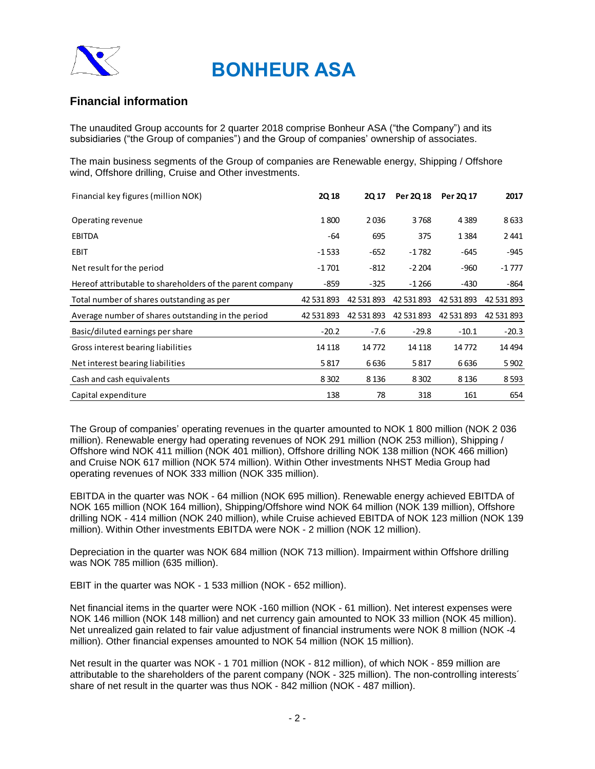

## **Financial information**

The unaudited Group accounts for 2 quarter 2018 comprise Bonheur ASA ("the Company") and its subsidiaries ("the Group of companies") and the Group of companies' ownership of associates.

The main business segments of the Group of companies are Renewable energy, Shipping / Offshore wind, Offshore drilling, Cruise and Other investments.

| Financial key figures (million NOK)                       | <b>2Q18</b> | 2Q 17      | Per 2Q 18  | Per 20 17  | 2017       |
|-----------------------------------------------------------|-------------|------------|------------|------------|------------|
| Operating revenue                                         | 1800        | 2036       | 3768       | 4389       | 8633       |
| <b>EBITDA</b>                                             | -64         | 695        | 375        | 1384       | 2441       |
| <b>EBIT</b>                                               | $-1533$     | $-652$     | $-1782$    | -645       | $-945$     |
| Net result for the period                                 | $-1701$     | -812       | $-2204$    | -960       | -1 777     |
| Hereof attributable to shareholders of the parent company | $-859$      | $-325$     | -1 266     | -430       | -864       |
| Total number of shares outstanding as per                 | 42 531 893  | 42 531 893 | 42 531 893 | 42 531 893 | 42 531 893 |
| Average number of shares outstanding in the period        | 42 531 893  | 42 531 893 | 42 531 893 | 42 531 893 | 42 531 893 |
| Basic/diluted earnings per share                          | $-20.2$     | $-7.6$     | $-29.8$    | $-10.1$    | $-20.3$    |
| Gross interest bearing liabilities                        | 14 1 18     | 14772      | 14 1 18    | 14772      | 14 4 94    |
| Net interest bearing liabilities                          | 5817        | 6636       | 5817       | 6636       | 5 9 0 2    |
| Cash and cash equivalents                                 | 8 3 0 2     | 8 1 3 6    | 8 3 0 2    | 8 1 3 6    | 8 5 9 3    |
| Capital expenditure                                       | 138         | 78         | 318        | 161        | 654        |

The Group of companies' operating revenues in the quarter amounted to NOK 1 800 million (NOK 2 036 million). Renewable energy had operating revenues of NOK 291 million (NOK 253 million), Shipping / Offshore wind NOK 411 million (NOK 401 million), Offshore drilling NOK 138 million (NOK 466 million) and Cruise NOK 617 million (NOK 574 million). Within Other investments NHST Media Group had operating revenues of NOK 333 million (NOK 335 million).

EBITDA in the quarter was NOK - 64 million (NOK 695 million). Renewable energy achieved EBITDA of NOK 165 million (NOK 164 million), Shipping/Offshore wind NOK 64 million (NOK 139 million), Offshore drilling NOK - 414 million (NOK 240 million), while Cruise achieved EBITDA of NOK 123 million (NOK 139 million). Within Other investments EBITDA were NOK - 2 million (NOK 12 million).

Depreciation in the quarter was NOK 684 million (NOK 713 million). Impairment within Offshore drilling was NOK 785 million (635 million).

EBIT in the quarter was NOK - 1 533 million (NOK - 652 million).

Net financial items in the quarter were NOK -160 million (NOK - 61 million). Net interest expenses were NOK 146 million (NOK 148 million) and net currency gain amounted to NOK 33 million (NOK 45 million). Net unrealized gain related to fair value adjustment of financial instruments were NOK 8 million (NOK -4 million). Other financial expenses amounted to NOK 54 million (NOK 15 million).

Net result in the quarter was NOK - 1 701 million (NOK - 812 million), of which NOK - 859 million are attributable to the shareholders of the parent company (NOK - 325 million). The non-controlling interests´ share of net result in the quarter was thus NOK - 842 million (NOK - 487 million).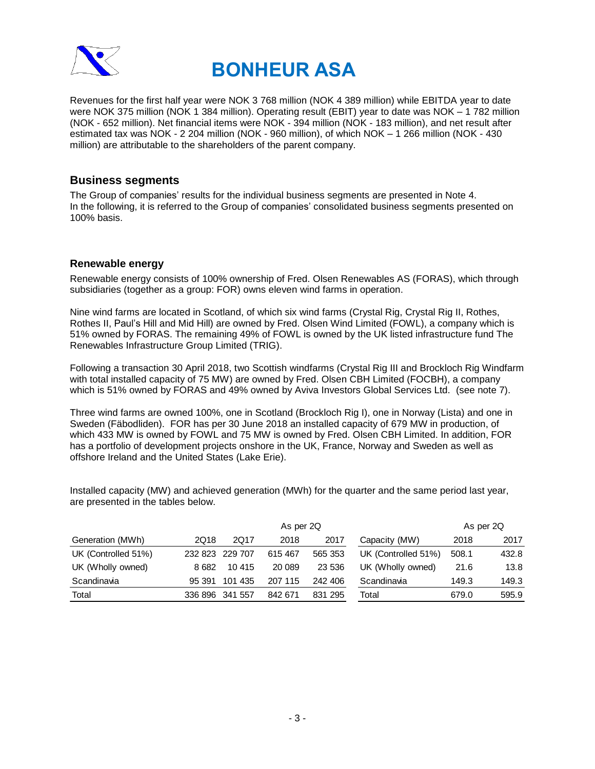

Revenues for the first half year were NOK 3 768 million (NOK 4 389 million) while EBITDA year to date were NOK 375 million (NOK 1 384 million). Operating result (EBIT) year to date was NOK – 1 782 million (NOK - 652 million). Net financial items were NOK - 394 million (NOK - 183 million), and net result after estimated tax was NOK - 2 204 million (NOK - 960 million), of which NOK – 1 266 million (NOK - 430 million) are attributable to the shareholders of the parent company.

### **Business segments**

The Group of companies' results for the individual business segments are presented in Note 4. In the following, it is referred to the Group of companies' consolidated business segments presented on 100% basis.

### **Renewable energy**

Renewable energy consists of 100% ownership of Fred. Olsen Renewables AS (FORAS), which through subsidiaries (together as a group: FOR) owns eleven wind farms in operation.

Nine wind farms are located in Scotland, of which six wind farms (Crystal Rig, Crystal Rig II, Rothes, Rothes II, Paul's Hill and Mid Hill) are owned by Fred. Olsen Wind Limited (FOWL), a company which is 51% owned by FORAS. The remaining 49% of FOWL is owned by the UK listed infrastructure fund The Renewables Infrastructure Group Limited (TRIG).

Following a transaction 30 April 2018, two Scottish windfarms (Crystal Rig III and Brockloch Rig Windfarm with total installed capacity of 75 MW) are owned by Fred. Olsen CBH Limited (FOCBH), a company which is 51% owned by FORAS and 49% owned by Aviva Investors Global Services Ltd. (see note 7).

Three wind farms are owned 100%, one in Scotland (Brockloch Rig I), one in Norway (Lista) and one in Sweden (Fäbodliden). FOR has per 30 June 2018 an installed capacity of 679 MW in production, of which 433 MW is owned by FOWL and 75 MW is owned by Fred. Olsen CBH Limited. In addition, FOR has a portfolio of development projects onshore in the UK, France, Norway and Sweden as well as offshore Ireland and the United States (Lake Erie).

Installed capacity (MW) and achieved generation (MWh) for the quarter and the same period last year, are presented in the tables below.

|                     | As per 2Q       |            |         |         |                     |       | As per 2Q |
|---------------------|-----------------|------------|---------|---------|---------------------|-------|-----------|
| Generation (MWh)    | 2Q18            | 2Q17       | 2018    | 2017    | Capacity (MW)       | 2018  | 2017      |
| UK (Controlled 51%) | 232 823         | 229 707    | 615 467 | 565 353 | UK (Controlled 51%) | 508.1 | 432.8     |
| UK (Wholly owned)   | 8 682           | 10 415     | 20 089  | 23 536  | UK (Wholly owned)   | 21.6  | 13.8      |
| Scandinavia         | 95 391          | 435<br>101 | 207 115 | 242 406 | Scandinavia         | 149.3 | 149.3     |
| Total               | 336 896 341 557 |            | 842 671 | 831 295 | Total               | 679.0 | 595.9     |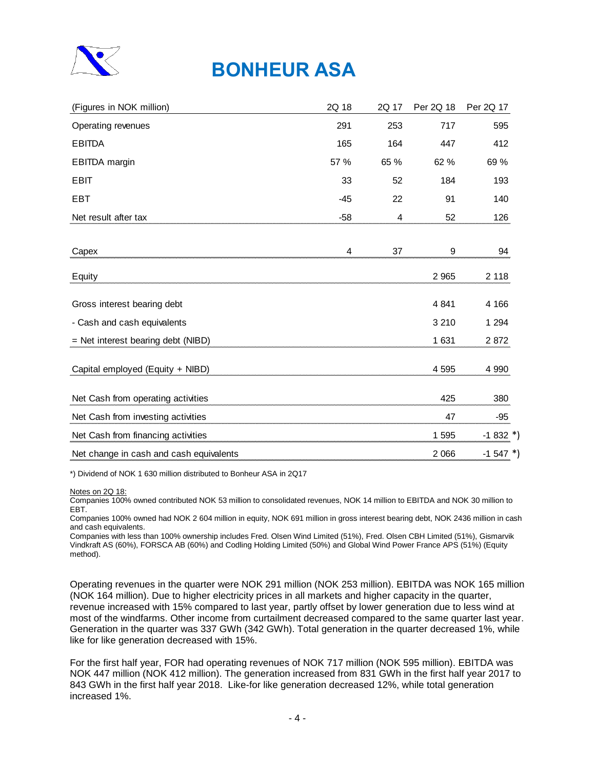

| 2Q 18 | 2Q 17 | Per 2Q 18 | Per 2Q 17  |
|-------|-------|-----------|------------|
| 291   | 253   | 717       | 595        |
| 165   | 164   | 447       | 412        |
| 57 %  | 65 %  | 62 %      | 69 %       |
| 33    | 52    | 184       | 193        |
| $-45$ | 22    | 91        | 140        |
| $-58$ | 4     | 52        | 126        |
|       |       |           |            |
| 4     | 37    | 9         | 94         |
|       |       | 2 9 6 5   | 2 1 1 8    |
|       |       | 4 8 4 1   | 4 166      |
|       |       | 3 2 1 0   | 1 2 9 4    |
|       |       | 1 631     | 2872       |
|       |       | 4595      | 4 9 9 0    |
|       |       | 425       | 380        |
|       |       | 47        | $-95$      |
|       |       | 1 5 9 5   | $-1832$ *) |
|       |       | 2 0 6 6   | $-1547$ *) |
|       |       |           |            |

\*) Dividend of NOK 1 630 million distributed to Bonheur ASA in 2Q17

Notes on 2Q 18:

Companies 100% owned contributed NOK 53 million to consolidated revenues, NOK 14 million to EBITDA and NOK 30 million to EBT.

Companies 100% owned had NOK 2 604 million in equity, NOK 691 million in gross interest bearing debt, NOK 2436 million in cash and cash equivalents.

Companies with less than 100% ownership includes Fred. Olsen Wind Limited (51%), Fred. Olsen CBH Limited (51%), Gismarvik Vindkraft AS (60%), FORSCA AB (60%) and Codling Holding Limited (50%) and Global Wind Power France APS (51%) (Equity method).

Operating revenues in the quarter were NOK 291 million (NOK 253 million). EBITDA was NOK 165 million (NOK 164 million). Due to higher electricity prices in all markets and higher capacity in the quarter, revenue increased with 15% compared to last year, partly offset by lower generation due to less wind at most of the windfarms. Other income from curtailment decreased compared to the same quarter last year. Generation in the quarter was 337 GWh (342 GWh). Total generation in the quarter decreased 1%, while like for like generation decreased with 15%.

For the first half year, FOR had operating revenues of NOK 717 million (NOK 595 million). EBITDA was NOK 447 million (NOK 412 million). The generation increased from 831 GWh in the first half year 2017 to 843 GWh in the first half year 2018. Like-for like generation decreased 12%, while total generation increased 1%.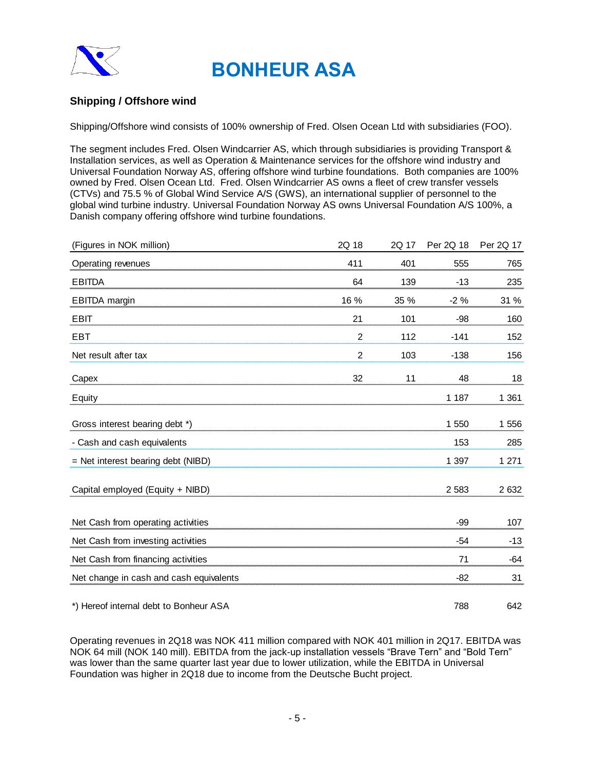

## **Shipping / Offshore wind**

Shipping/Offshore wind consists of 100% ownership of Fred. Olsen Ocean Ltd with subsidiaries (FOO).

The segment includes Fred. Olsen Windcarrier AS, which through subsidiaries is providing Transport & Installation services, as well as Operation & Maintenance services for the offshore wind industry and Universal Foundation Norway AS, offering offshore wind turbine foundations. Both companies are 100% owned by Fred. Olsen Ocean Ltd. Fred. Olsen Windcarrier AS owns a fleet of crew transfer vessels (CTVs) and 75.5 % of Global Wind Service A/S (GWS), an international supplier of personnel to the global wind turbine industry. Universal Foundation Norway AS owns Universal Foundation A/S 100%, a Danish company offering offshore wind turbine foundations.

| (Figures in NOK million)                | 2Q 18          | 2Q 17 | Per 2Q 18 | Per 2Q 17 |
|-----------------------------------------|----------------|-------|-----------|-----------|
| Operating revenues                      | 411            | 401   | 555       | 765       |
| <b>EBITDA</b>                           | 64             | 139   | $-13$     | 235       |
| <b>EBITDA</b> margin                    | 16 %           | 35 %  | $-2%$     | 31 %      |
| <b>EBIT</b>                             | 21             | 101   | $-98$     | 160       |
| <b>EBT</b>                              | $\overline{2}$ | 112   | $-141$    | 152       |
| Net result after tax                    | $\overline{2}$ | 103   | $-138$    | 156       |
| Capex                                   | 32             | 11    | 48        | 18        |
| Equity                                  |                |       | 1 1 8 7   | 1 3 6 1   |
| Gross interest bearing debt *)          |                |       | 1 550     | 1 556     |
| - Cash and cash equivalents             |                |       | 153       | 285       |
| $=$ Net interest bearing debt (NIBD)    |                |       | 1 3 9 7   | 1 2 7 1   |
| Capital employed (Equity + NIBD)        |                |       | 2 5 8 3   | 2 6 3 2   |
| Net Cash from operating activities      |                |       | $-99$     | 107       |
| Net Cash from investing activities      |                |       | $-54$     | $-13$     |
| Net Cash from financing activities      |                |       | 71        | $-64$     |
| Net change in cash and cash equivalents |                |       | $-82$     | 31        |
| *) Hereof internal debt to Bonheur ASA  |                |       | 788       | 642       |

Operating revenues in 2Q18 was NOK 411 million compared with NOK 401 million in 2Q17. EBITDA was NOK 64 mill (NOK 140 mill). EBITDA from the jack-up installation vessels "Brave Tern" and "Bold Tern" was lower than the same quarter last year due to lower utilization, while the EBITDA in Universal Foundation was higher in 2Q18 due to income from the Deutsche Bucht project.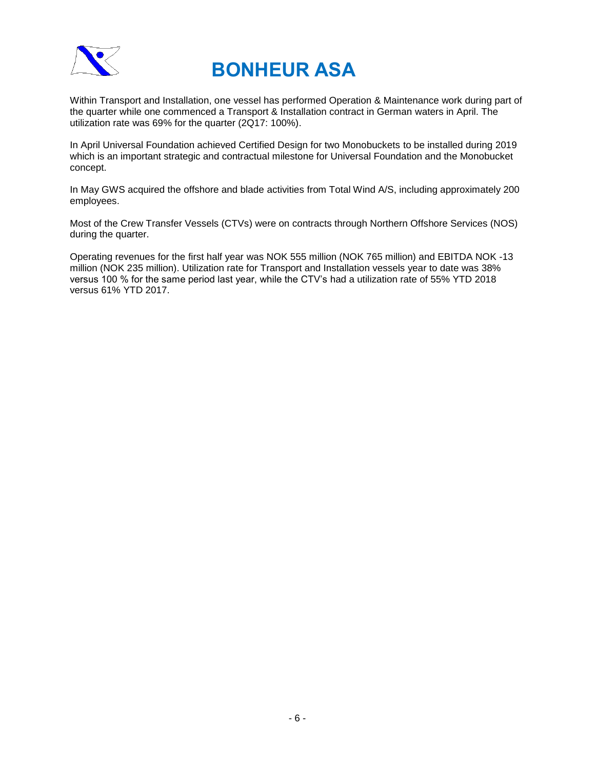

Within Transport and Installation, one vessel has performed Operation & Maintenance work during part of the quarter while one commenced a Transport & Installation contract in German waters in April. The utilization rate was 69% for the quarter (2Q17: 100%).

In April Universal Foundation achieved Certified Design for two Monobuckets to be installed during 2019 which is an important strategic and contractual milestone for Universal Foundation and the Monobucket concept.

In May GWS acquired the offshore and blade activities from Total Wind A/S, including approximately 200 employees.

Most of the Crew Transfer Vessels (CTVs) were on contracts through Northern Offshore Services (NOS) during the quarter.

Operating revenues for the first half year was NOK 555 million (NOK 765 million) and EBITDA NOK -13 million (NOK 235 million). Utilization rate for Transport and Installation vessels year to date was 38% versus 100 % for the same period last year, while the CTV's had a utilization rate of 55% YTD 2018 versus 61% YTD 2017.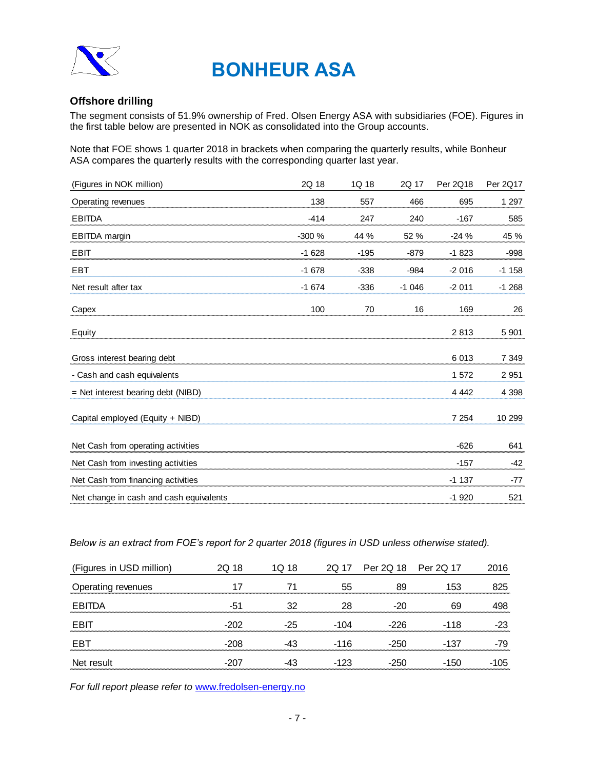

### **Offshore drilling**

The segment consists of 51.9% ownership of Fred. Olsen Energy ASA with subsidiaries (FOE). Figures in the first table below are presented in NOK as consolidated into the Group accounts.

Note that FOE shows 1 quarter 2018 in brackets when comparing the quarterly results, while Bonheur ASA compares the quarterly results with the corresponding quarter last year.

| (Figures in NOK million)                | 2Q 18   | 1Q 18  | 2Q 17   | Per 2Q18 | Per 2Q17 |
|-----------------------------------------|---------|--------|---------|----------|----------|
| Operating revenues                      | 138     | 557    | 466     | 695      | 1 297    |
| <b>EBITDA</b>                           | $-414$  | 247    | 240     | $-167$   | 585      |
| <b>EBITDA</b> margin                    | $-300%$ | 44 %   | 52 %    | $-24%$   | 45 %     |
| <b>EBIT</b>                             | $-1628$ | $-195$ | $-879$  | $-1823$  | -998     |
| <b>EBT</b>                              | $-1678$ | $-338$ | $-984$  | $-2016$  | $-1158$  |
| Net result after tax                    | $-1674$ | $-336$ | $-1046$ | $-2011$  | $-1268$  |
| Capex                                   | 100     | 70     | 16      | 169      | 26       |
| Equity                                  |         |        |         | 2813     | 5 9 0 1  |
| Gross interest bearing debt             |         |        |         | 6013     | 7 3 4 9  |
| - Cash and cash equivalents             |         |        |         | 1572     | 2 9 5 1  |
| $=$ Net interest bearing debt (NIBD)    |         |        |         | 4 4 4 2  | 4 3 9 8  |
| Capital employed (Equity + NIBD)        |         |        |         | 7 2 5 4  | 10 299   |
| Net Cash from operating activities      |         |        |         | $-626$   | 641      |
| Net Cash from investing activities      |         |        |         | $-157$   | -42      |
| Net Cash from financing activities      |         |        |         | $-1137$  | $-77$    |
| Net change in cash and cash equivalents |         |        |         | $-1920$  | 521      |

*Below is an extract from FOE's report for 2 quarter 2018 (figures in USD unless otherwise stated).*

| (Figures in USD million) | 2Q 18  | IO 18 |      | 2Q 17 Per 2Q 18 Per 2Q 17 |            | 2016 |
|--------------------------|--------|-------|------|---------------------------|------------|------|
| Operating revenues       |        |       | 55   | 89                        | 153.       | 325  |
| FBITDA                   |        |       |      |                           | 69         | 198  |
| FRI                      | $-202$ |       | -104 | -226                      | 118<br>- 1 |      |
| FR.                      | -208   |       | -116 | $-250$                    | 13.        | -79  |
| Net result               | -207   |       |      | ウトロ                       |            | ר!ו  |

*For full report please refer to* [www.fredolsen-energy.no](http://www.fredolsen-energy.no/)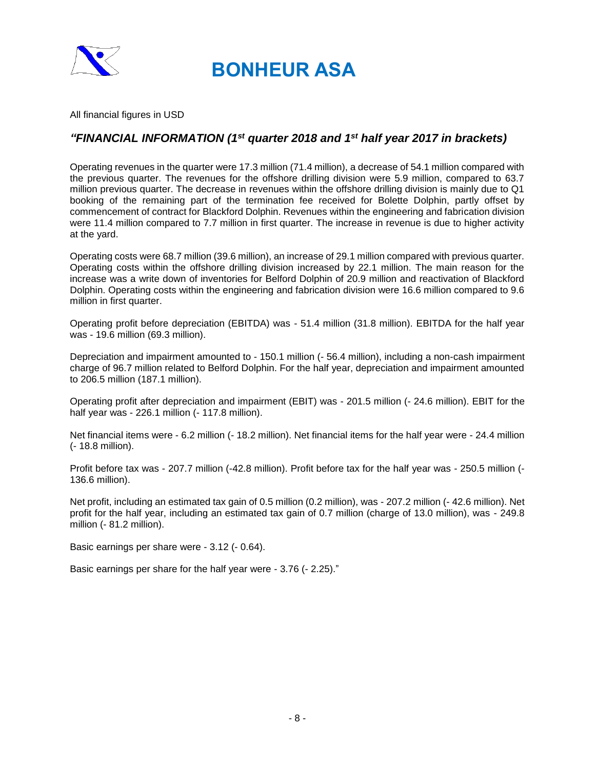

All financial figures in USD

## *"FINANCIAL INFORMATION (1st quarter 2018 and 1st half year 2017 in brackets)*

Operating revenues in the quarter were 17.3 million (71.4 million), a decrease of 54.1 million compared with the previous quarter. The revenues for the offshore drilling division were 5.9 million, compared to 63.7 million previous quarter. The decrease in revenues within the offshore drilling division is mainly due to Q1 booking of the remaining part of the termination fee received for Bolette Dolphin, partly offset by commencement of contract for Blackford Dolphin. Revenues within the engineering and fabrication division were 11.4 million compared to 7.7 million in first quarter. The increase in revenue is due to higher activity at the yard.

Operating costs were 68.7 million (39.6 million), an increase of 29.1 million compared with previous quarter. Operating costs within the offshore drilling division increased by 22.1 million. The main reason for the increase was a write down of inventories for Belford Dolphin of 20.9 million and reactivation of Blackford Dolphin. Operating costs within the engineering and fabrication division were 16.6 million compared to 9.6 million in first quarter.

Operating profit before depreciation (EBITDA) was - 51.4 million (31.8 million). EBITDA for the half year was - 19.6 million (69.3 million).

Depreciation and impairment amounted to - 150.1 million (- 56.4 million), including a non-cash impairment charge of 96.7 million related to Belford Dolphin. For the half year, depreciation and impairment amounted to 206.5 million (187.1 million).

Operating profit after depreciation and impairment (EBIT) was - 201.5 million (- 24.6 million). EBIT for the half year was - 226.1 million (- 117.8 million).

Net financial items were - 6.2 million (- 18.2 million). Net financial items for the half year were - 24.4 million (- 18.8 million).

Profit before tax was - 207.7 million (-42.8 million). Profit before tax for the half year was - 250.5 million (- 136.6 million).

Net profit, including an estimated tax gain of 0.5 million (0.2 million), was - 207.2 million (- 42.6 million). Net profit for the half year, including an estimated tax gain of 0.7 million (charge of 13.0 million), was - 249.8 million (- 81.2 million).

Basic earnings per share were - 3.12 (- 0.64).

Basic earnings per share for the half year were - 3.76 (- 2.25)."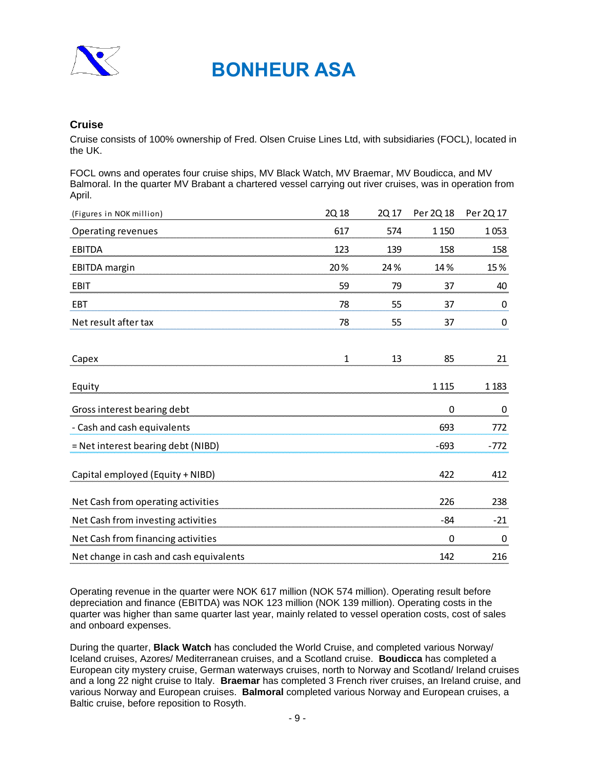

### **Cruise**

Cruise consists of 100% ownership of Fred. Olsen Cruise Lines Ltd, with subsidiaries (FOCL), located in the UK.

FOCL owns and operates four cruise ships, MV Black Watch, MV Braemar, MV Boudicca, and MV Balmoral. In the quarter MV Brabant a chartered vessel carrying out river cruises, was in operation from April.

| (Figures in NOK million)                                                                                                                                                                                                                                                                                                                                                                                                                                                                                                                                                                                                                                                                                                                                                                                                                                                                                              | 2Q 18        | 2Q 17 | Per 2Q 18 | Per 2Q 17 |
|-----------------------------------------------------------------------------------------------------------------------------------------------------------------------------------------------------------------------------------------------------------------------------------------------------------------------------------------------------------------------------------------------------------------------------------------------------------------------------------------------------------------------------------------------------------------------------------------------------------------------------------------------------------------------------------------------------------------------------------------------------------------------------------------------------------------------------------------------------------------------------------------------------------------------|--------------|-------|-----------|-----------|
| <b>Operating revenues</b>                                                                                                                                                                                                                                                                                                                                                                                                                                                                                                                                                                                                                                                                                                                                                                                                                                                                                             | 617          | 574   | 1 1 5 0   | 1053      |
| EBITDA                                                                                                                                                                                                                                                                                                                                                                                                                                                                                                                                                                                                                                                                                                                                                                                                                                                                                                                | 123          | 139   | 158       | 158       |
| <b>EBITDA</b> margin                                                                                                                                                                                                                                                                                                                                                                                                                                                                                                                                                                                                                                                                                                                                                                                                                                                                                                  | 20%          | 24 %  | 14%       | 15%       |
| <b>EBIT</b>                                                                                                                                                                                                                                                                                                                                                                                                                                                                                                                                                                                                                                                                                                                                                                                                                                                                                                           | 59           | 79    | 37        | 40        |
| <b>EBT</b>                                                                                                                                                                                                                                                                                                                                                                                                                                                                                                                                                                                                                                                                                                                                                                                                                                                                                                            | 78           | 55    | 37        | 0         |
| Net result after tax                                                                                                                                                                                                                                                                                                                                                                                                                                                                                                                                                                                                                                                                                                                                                                                                                                                                                                  | 78           | 55    | 37        | 0         |
| Capex                                                                                                                                                                                                                                                                                                                                                                                                                                                                                                                                                                                                                                                                                                                                                                                                                                                                                                                 | $\mathbf{1}$ | 13    | 85        | 21        |
| Equity                                                                                                                                                                                                                                                                                                                                                                                                                                                                                                                                                                                                                                                                                                                                                                                                                                                                                                                |              |       | 1 1 1 5   | 1 1 8 3   |
| Gross interest bearing debt                                                                                                                                                                                                                                                                                                                                                                                                                                                                                                                                                                                                                                                                                                                                                                                                                                                                                           |              |       | 0         | 0         |
| - Cash and cash equivalents                                                                                                                                                                                                                                                                                                                                                                                                                                                                                                                                                                                                                                                                                                                                                                                                                                                                                           |              |       | 693       | 772       |
| = Net interest bearing debt (NIBD)                                                                                                                                                                                                                                                                                                                                                                                                                                                                                                                                                                                                                                                                                                                                                                                                                                                                                    |              |       | $-693$    | -772      |
| Capital employed (Equity + NIBD)                                                                                                                                                                                                                                                                                                                                                                                                                                                                                                                                                                                                                                                                                                                                                                                                                                                                                      |              |       | 422       | 412       |
| Net Cash from operating activities                                                                                                                                                                                                                                                                                                                                                                                                                                                                                                                                                                                                                                                                                                                                                                                                                                                                                    |              |       | 226       | 238       |
| Net Cash from investing activities                                                                                                                                                                                                                                                                                                                                                                                                                                                                                                                                                                                                                                                                                                                                                                                                                                                                                    |              |       | -84       | -21       |
| Net Cash from financing activities                                                                                                                                                                                                                                                                                                                                                                                                                                                                                                                                                                                                                                                                                                                                                                                                                                                                                    |              |       | 0         | 0         |
| Net change in cash and cash equivalents                                                                                                                                                                                                                                                                                                                                                                                                                                                                                                                                                                                                                                                                                                                                                                                                                                                                               |              |       | 142       | 216       |
| Operating revenue in the quarter were NOK 617 million (NOK 574 million). Operating result before<br>depreciation and finance (EBITDA) was NOK 123 million (NOK 139 million). Operating costs in the<br>quarter was higher than same quarter last year, mainly related to vessel operation costs, cost of sales<br>and onboard expenses.<br>During the quarter, <b>Black Watch</b> has concluded the World Cruise, and completed various Norway/<br>Iceland cruises, Azores/ Mediterranean cruises, and a Scotland cruise. Boudicca has completed a<br>European city mystery cruise, German waterways cruises, north to Norway and Scotland/ Ireland cruis<br>and a long 22 night cruise to Italy. Braemar has completed 3 French river cruises, an Ireland cruise, a<br>various Norway and European cruises. Balmoral completed various Norway and European cruises, a<br>Baltic cruise, before reposition to Rosyth. |              |       |           |           |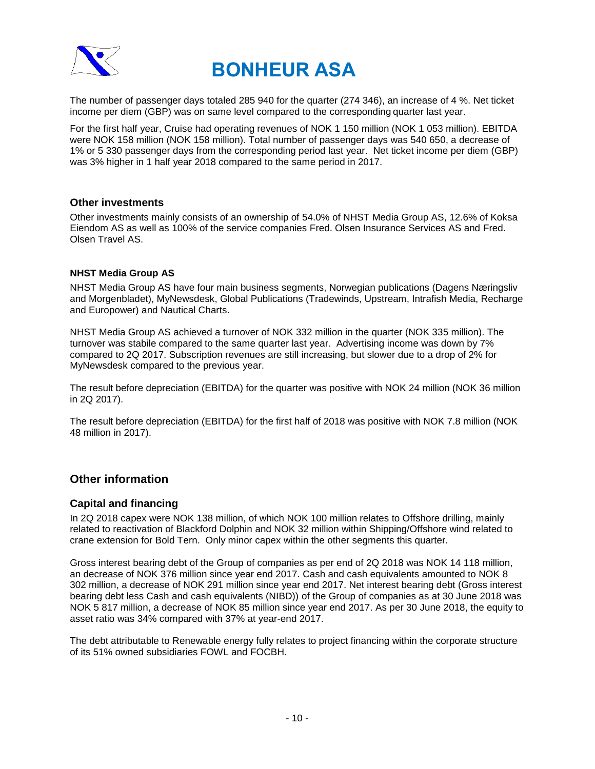

The number of passenger days totaled 285 940 for the quarter (274 346), an increase of 4 %. Net ticket income per diem (GBP) was on same level compared to the corresponding quarter last year.

For the first half year, Cruise had operating revenues of NOK 1 150 million (NOK 1 053 million). EBITDA were NOK 158 million (NOK 158 million). Total number of passenger days was 540 650, a decrease of 1% or 5 330 passenger days from the corresponding period last year. Net ticket income per diem (GBP) was 3% higher in 1 half year 2018 compared to the same period in 2017.

### **Other investments**

Other investments mainly consists of an ownership of 54.0% of NHST Media Group AS, 12.6% of Koksa Eiendom AS as well as 100% of the service companies Fred. Olsen Insurance Services AS and Fred. Olsen Travel AS.

### **NHST Media Group AS**

NHST Media Group AS have four main business segments, Norwegian publications (Dagens Næringsliv and Morgenbladet), MyNewsdesk, Global Publications (Tradewinds, Upstream, Intrafish Media, Recharge and Europower) and Nautical Charts.

NHST Media Group AS achieved a turnover of NOK 332 million in the quarter (NOK 335 million). The turnover was stabile compared to the same quarter last year. Advertising income was down by 7% compared to 2Q 2017. Subscription revenues are still increasing, but slower due to a drop of 2% for MyNewsdesk compared to the previous year.

The result before depreciation (EBITDA) for the quarter was positive with NOK 24 million (NOK 36 million in 2Q 2017).

The result before depreciation (EBITDA) for the first half of 2018 was positive with NOK 7.8 million (NOK 48 million in 2017).

## **Other information**

### **Capital and financing**

In 2Q 2018 capex were NOK 138 million, of which NOK 100 million relates to Offshore drilling, mainly related to reactivation of Blackford Dolphin and NOK 32 million within Shipping/Offshore wind related to crane extension for Bold Tern. Only minor capex within the other segments this quarter.

Gross interest bearing debt of the Group of companies as per end of 2Q 2018 was NOK 14 118 million, an decrease of NOK 376 million since year end 2017. Cash and cash equivalents amounted to NOK 8 302 million, a decrease of NOK 291 million since year end 2017. Net interest bearing debt (Gross interest bearing debt less Cash and cash equivalents (NIBD)) of the Group of companies as at 30 June 2018 was NOK 5 817 million, a decrease of NOK 85 million since year end 2017. As per 30 June 2018, the equity to asset ratio was 34% compared with 37% at year-end 2017.

The debt attributable to Renewable energy fully relates to project financing within the corporate structure of its 51% owned subsidiaries FOWL and FOCBH.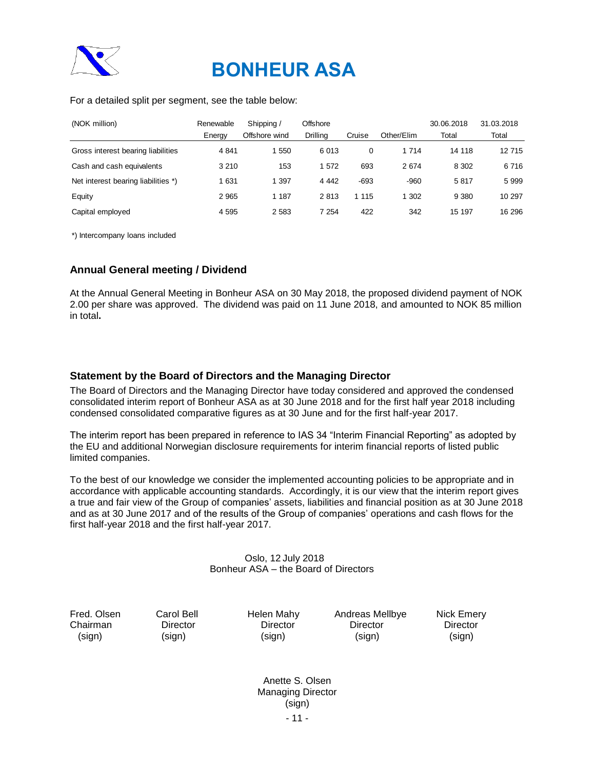

### For a detailed split per segment, see the table below:

| (NOK million)                                                                                                                                                                                                                                                                                                                                                                                                                                                                                        |                                                | Renewable | Shipping /                                                 | Offshore                                              |                                              |            | 30.06.2018                       | 31.03.2018 |  |  |  |  |
|------------------------------------------------------------------------------------------------------------------------------------------------------------------------------------------------------------------------------------------------------------------------------------------------------------------------------------------------------------------------------------------------------------------------------------------------------------------------------------------------------|------------------------------------------------|-----------|------------------------------------------------------------|-------------------------------------------------------|----------------------------------------------|------------|----------------------------------|------------|--|--|--|--|
|                                                                                                                                                                                                                                                                                                                                                                                                                                                                                                      |                                                | Energy    | Offshore wind                                              | Drilling                                              | Cruise                                       | Other/Elim | Total                            | Total      |  |  |  |  |
| Gross interest bearing liabilities                                                                                                                                                                                                                                                                                                                                                                                                                                                                   |                                                | 4 8 4 1   | 1 550                                                      | 6013                                                  | $\mathbf 0$                                  | 1 7 1 4    | 14 118                           | 12715      |  |  |  |  |
| Cash and cash equivalents                                                                                                                                                                                                                                                                                                                                                                                                                                                                            |                                                | 3 2 1 0   | 153                                                        | 1572                                                  | 693                                          | 2674       | 8 3 0 2                          | 6716       |  |  |  |  |
| Net interest bearing liabilities *)                                                                                                                                                                                                                                                                                                                                                                                                                                                                  |                                                | 1 631     | 1 3 9 7                                                    | 4 4 4 2                                               | $-693$                                       | -960       | 5817                             | 5 9 9 9    |  |  |  |  |
| Equity                                                                                                                                                                                                                                                                                                                                                                                                                                                                                               |                                                | 2 9 6 5   | 1 1 8 7                                                    | 2813                                                  | 1 1 1 5                                      | 1 302      | 9 3 8 0                          | 10 297     |  |  |  |  |
| Capital employed                                                                                                                                                                                                                                                                                                                                                                                                                                                                                     |                                                | 4 5 9 5   | 2 5 8 3                                                    | 7 2 5 4                                               | 422                                          | 342        | 15 197                           | 16 29 6    |  |  |  |  |
|                                                                                                                                                                                                                                                                                                                                                                                                                                                                                                      | *) Intercompany loans included                 |           |                                                            |                                                       |                                              |            |                                  |            |  |  |  |  |
| <b>Annual General meeting / Dividend</b>                                                                                                                                                                                                                                                                                                                                                                                                                                                             |                                                |           |                                                            |                                                       |                                              |            |                                  |            |  |  |  |  |
| At the Annual General Meeting in Bonheur ASA on 30 May 2018, the proposed dividend payment of NOK<br>2.00 per share was approved. The dividend was paid on 11 June 2018, and amounted to NOK 85 million<br>in total.                                                                                                                                                                                                                                                                                 |                                                |           |                                                            |                                                       |                                              |            |                                  |            |  |  |  |  |
| Statement by the Board of Directors and the Managing Director<br>The Board of Directors and the Managing Director have today considered and approved the condensed<br>consolidated interim report of Bonheur ASA as at 30 June 2018 and for the first half year 2018 including<br>condensed consolidated comparative figures as at 30 June and for the first half-year 2017.                                                                                                                         |                                                |           |                                                            |                                                       |                                              |            |                                  |            |  |  |  |  |
| The interim report has been prepared in reference to IAS 34 "Interim Financial Reporting" as adopted by<br>the EU and additional Norwegian disclosure requirements for interim financial reports of listed public<br>limited companies.                                                                                                                                                                                                                                                              |                                                |           |                                                            |                                                       |                                              |            |                                  |            |  |  |  |  |
| To the best of our knowledge we consider the implemented accounting policies to be appropriate and in<br>accordance with applicable accounting standards. Accordingly, it is our view that the interim report gives<br>a true and fair view of the Group of companies' assets, liabilities and financial position as at 30 June 2018<br>and as at 30 June 2017 and of the results of the Group of companies' operations and cash flows for the<br>first half-year 2018 and the first half-year 2017. |                                                |           |                                                            |                                                       |                                              |            |                                  |            |  |  |  |  |
|                                                                                                                                                                                                                                                                                                                                                                                                                                                                                                      |                                                |           | Oslo, 12 July 2018<br>Bonheur ASA - the Board of Directors |                                                       |                                              |            |                                  |            |  |  |  |  |
| Fred. Olsen<br>Chairman<br>(sign)                                                                                                                                                                                                                                                                                                                                                                                                                                                                    | <b>Carol Bell</b><br><b>Director</b><br>(sign) |           | <b>Helen Mahy</b><br>Director<br>(sign)                    |                                                       | Andreas Mellbye<br><b>Director</b><br>(sign) |            | Nick Emery<br>Director<br>(sign) |            |  |  |  |  |
|                                                                                                                                                                                                                                                                                                                                                                                                                                                                                                      |                                                |           |                                                            | Anette S. Olsen<br><b>Managing Director</b><br>(sign) |                                              |            |                                  |            |  |  |  |  |

## **Annual General meeting / Dividend**

### **Statement by the Board of Directors and the Managing Director**

### Oslo, 12 July 2018 Bonheur ASA – the Board of Directors

- 11 - Anette S. Olsen Managing Director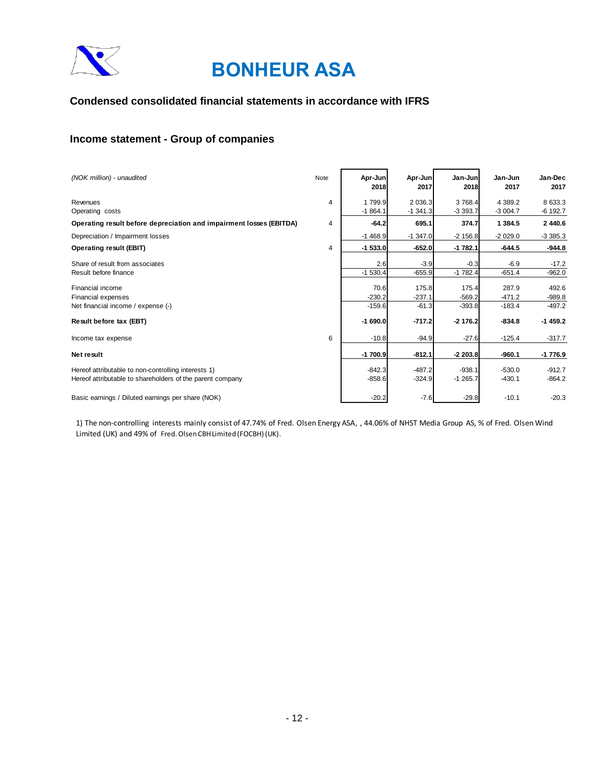

### **Condensed consolidated financial statements in accordance with IFRS**

## **Income statement - Group of companies**

| (NOK million) - unaudited                                           | Note | Apr-Jun<br>2018 | Apr-Jun<br>2017 | Jan-Jun<br>2018 | Jan-Jun<br>2017 | Jan-Dec<br>2017 |
|---------------------------------------------------------------------|------|-----------------|-----------------|-----------------|-----------------|-----------------|
| Revenues                                                            | 4    | 1799.9          | 2 0 3 6.3       | 3 768.4         | 4 389.2         | 8 633.3         |
| Operating costs                                                     |      | $-1864.1$       | $-1,341.3$      | $-3393.7$       | $-3004.7$       | $-6$ 192.7      |
| Operating result before depreciation and impairment losses (EBITDA) | 4    | $-64.2$         | 695.1           | 374.7           | 1 384.5         | 2 440.6         |
| Depreciation / Impairment losses                                    |      | $-1468.9$       | $-1,347.0$      | $-2$ 156.8      | $-2029.0$       | $-3385.3$       |
| Operating result (EBIT)                                             | 4    | $-1$ 533.0      | $-652.0$        | $-1782.1$       | $-644.5$        | $-944.8$        |
| Share of result from associates                                     |      | 2.6             | $-3.9$          | $-0.3$          | $-6.9$          | $-17.2$         |
| Result before finance                                               |      | $-1530.4$       | $-655.9$        | $-1782.4$       | $-651.4$        | $-962.0$        |
| Financial income                                                    |      | 70.6            | 175.8           | 175.4           | 287.9           | 492.6           |
| Financial expenses                                                  |      | $-230.2$        | $-237.1$        | $-569.2$        | $-471.2$        | $-989.8$        |
| Net financial income / expense (-)                                  |      | $-159.6$        | $-61.3$         | $-393.8$        | $-183.4$        | $-497.2$        |
| Result before tax (EBT)                                             |      | $-1690.0$       | $-717.2$        | $-2$ 176.2      | $-834.8$        | $-1459.2$       |
| Income tax expense                                                  | 6    | $-10.8$         | $-94.9$         | $-27.6$         | $-125.4$        | $-317.7$        |
| Net result                                                          |      | $-1700.9$       | $-812.1$        | $-2203.8$       | $-960.1$        | $-1776.9$       |
| Hereof attributable to non-controlling interests 1)                 |      | $-842.3$        | $-487.2$        | $-938.1$        | $-530.0$        | $-912.7$        |
| Hereof attributable to shareholders of the parent company           |      | $-858.6$        | $-324.9$        | $-1265.7$       | $-430.1$        | $-864.2$        |
| Basic earnings / Diluted earnings per share (NOK)                   |      | $-20.2$         | $-7.6$          | $-29.8$         | $-10.1$         | $-20.3$         |

1) The non-controlling interests mainly consist of 47.74% of Fred. Olsen Energy ASA, , 44.06% of NHST Media Group AS, % of Fred. Olsen Wind Limited (UK) and 49% of Fred. Olsen CBH Limited (FOCBH) (UK).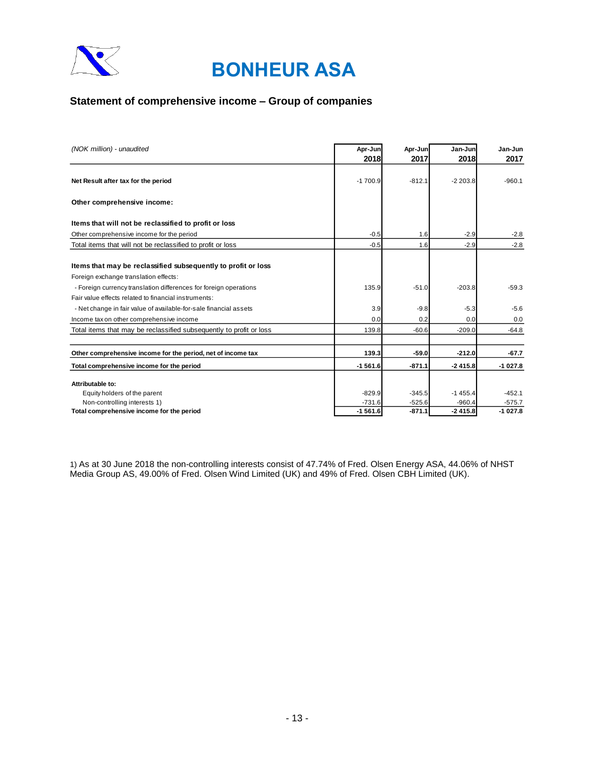

## **Statement of comprehensive income – Group of companies**

| (NOK million) - unaudited                                           | Apr-Jun   | Apr-Jun  | Jan-Jun   | Jan-Jun   |
|---------------------------------------------------------------------|-----------|----------|-----------|-----------|
|                                                                     | 2018      | 2017     | 2018      | 2017      |
| Net Result after tax for the period                                 | $-1700.9$ | $-812.1$ | $-2203.8$ | $-960.1$  |
| Other comprehensive income:                                         |           |          |           |           |
| Items that will not be reclassified to profit or loss               |           |          |           |           |
| Other comprehensive income for the period                           | $-0.5$    | 1.6      | $-2.9$    | $-2.8$    |
| Total items that will not be reclassified to profit or loss         | $-0.5$    | 1.6      | $-2.9$    | $-2.8$    |
| Items that may be reclassified subsequently to profit or loss       |           |          |           |           |
| Foreign exchange translation effects:                               |           |          |           |           |
| - Foreign currency translation differences for foreign operations   | 135.9     | $-51.0$  | $-203.8$  | $-59.3$   |
| Fair value effects related to financial instruments:                |           |          |           |           |
| - Net change in fair value of available-for-sale financial assets   | 3.9       | $-9.8$   | $-5.3$    | $-5.6$    |
| Income tax on other comprehensive income                            | 0.0       | 0.2      | 0.0       | 0.0       |
| Total items that may be reclassified subsequently to profit or loss | 139.8     | $-60.6$  | $-209.0$  | $-64.8$   |
|                                                                     |           |          |           |           |
| Other comprehensive income for the period, net of income tax        | 139.3     | $-59.0$  | $-212.0$  | $-67.7$   |
| Total comprehensive income for the period                           | $-1561.6$ | $-871.1$ | $-2415.8$ | $-1027.8$ |
| Attributable to:                                                    |           |          |           |           |
| Equity holders of the parent                                        | $-829.9$  | $-345.5$ | $-1455.4$ | $-452.1$  |
| Non-controlling interests 1)                                        | $-731.6$  | $-525.6$ | $-960.4$  | $-575.7$  |
| Total comprehensive income for the period                           | $-1561.6$ | $-871.1$ | $-2415.8$ | $-1027.8$ |

1) As at 30 June 2018 the non-controlling interests consist of 47.74% of Fred. Olsen Energy ASA, 44.06% of NHST Media Group AS, 49.00% of Fred. Olsen Wind Limited (UK) and 49% of Fred. Olsen CBH Limited (UK).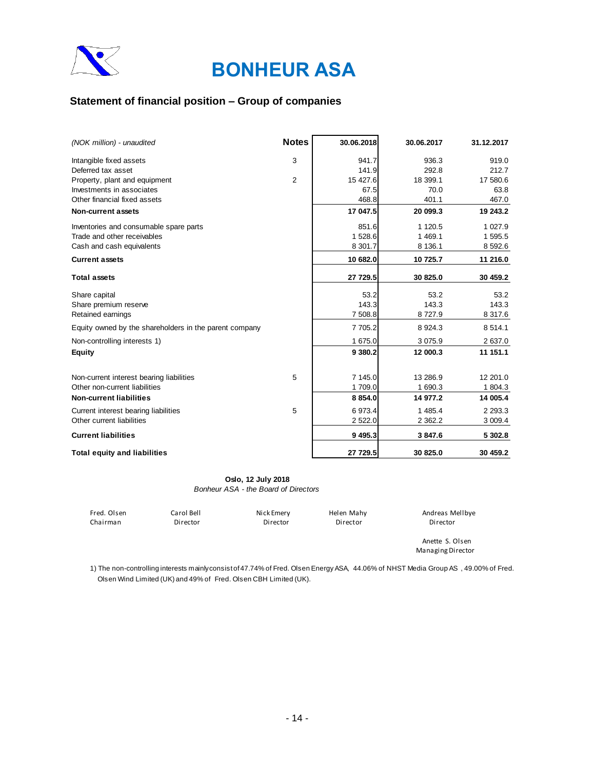

## **Statement of financial position – Group of companies**

| (NOK million) - unaudited                              | <b>Notes</b> | 30.06.2018 | 30.06.2017  | 31.12.2017  |
|--------------------------------------------------------|--------------|------------|-------------|-------------|
| Intangible fixed assets                                | 3            | 941.7      | 936.3       | 919.0       |
| Deferred tax asset                                     |              | 141.9      | 292.8       | 212.7       |
| Property, plant and equipment                          | 2            | 15 427.6   | 18 399.1    | 17 580.6    |
| Investments in associates                              |              | 67.5       | 70.0        | 63.8        |
| Other financial fixed assets                           |              | 468.8      | 401.1       | 467.0       |
| <b>Non-current assets</b>                              |              | 17 047.5   | 20 099.3    | 19 243.2    |
| Inventories and consumable spare parts                 |              | 851.6      | 1 1 2 0.5   | 1 0 27.9    |
| Trade and other receivables                            |              | 1 528.6    | 1 469.1     | 1 595.5     |
| Cash and cash equivalents                              |              | 8 301.7    | 8 136.1     | 8 5 9 2.6   |
| <b>Current assets</b>                                  |              | 10 682.0   | 10 725.7    | 11 216.0    |
| <b>Total assets</b>                                    |              | 27 729.5   | 30 825.0    | 30 459.2    |
| Share capital                                          |              | 53.2       | 53.2        | 53.2        |
| Share premium reserve                                  |              | 143.3      | 143.3       | 143.3       |
| Retained earnings                                      |              | 7 508.8    | 8727.9      | 8 3 1 7 . 6 |
| Equity owned by the shareholders in the parent company |              | 7 705.2    | 8 9 24.3    | 8 5 1 4 . 1 |
| Non-controlling interests 1)                           |              | 1 675.0    | 3 0 7 5 . 9 | 2 637.0     |
| <b>Equity</b>                                          |              | 9 380.2    | 12 000.3    | 11 151.1    |
| Non-current interest bearing liabilities               | 5            | 7 145.0    | 13 28 6.9   | 12 201.0    |
| Other non-current liabilities                          |              | 1709.0     | 1 690.3     | 1 804.3     |
| <b>Non-current liabilities</b>                         |              | 8 8 5 4.0  | 14 977.2    | 14 005.4    |
|                                                        |              |            |             |             |
| Current interest bearing liabilities                   | 5            | 6 973.4    | 1 485.4     | 2 2 9 3 . 3 |
| Other current liabilities                              |              | 2 522.0    | 2 3 6 2.2   | 3 009.4     |
| <b>Current liabilities</b>                             |              | 9 4 9 5.3  | 3 847.6     | 5 302.8     |
| <b>Total equity and liabilities</b>                    |              | 27 729.5   | 30 825.0    | 30 459.2    |

#### **Oslo, 12 July 2018**

*Bonheur ASA - the Board of Directors*

| Fred. Olsen | Carol Bell | Nick Emery | Helen Mahy | Andreas Mellbye                      |
|-------------|------------|------------|------------|--------------------------------------|
| Chairman    | Director   | Director   | Director   | Director                             |
|             |            |            |            | Anette S. Olsen<br>Managing Director |

1) The non-controlling interests mainly consist of 47.74% of Fred. Olsen Energy ASA, 44.06% of NHST Media Group AS , 49.00% of Fred. Olsen Wind Limited (UK) and 49% of Fred. Olsen CBH Limited (UK).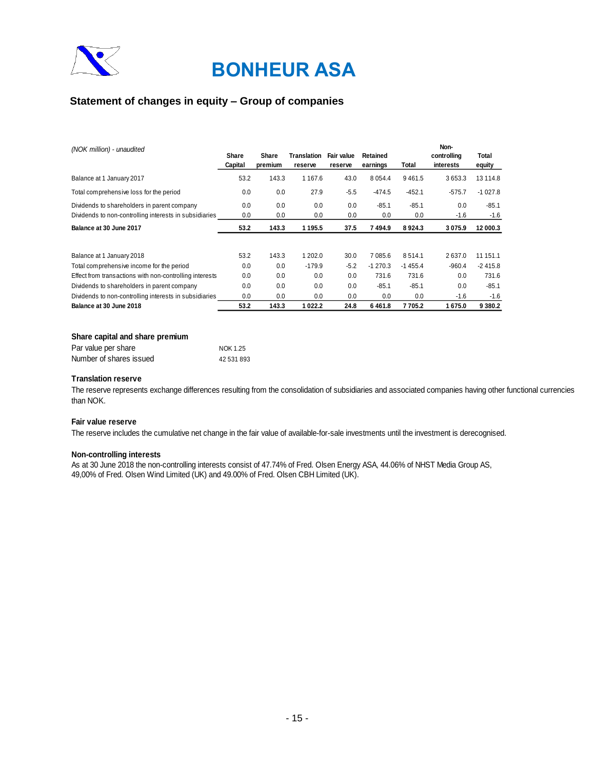

## **Statement of changes in equity – Group of companies**

| (NOK million) - unaudited                               |         |         |             |            |            |           | Non-        |           |
|---------------------------------------------------------|---------|---------|-------------|------------|------------|-----------|-------------|-----------|
|                                                         | Share   | Share   | Translation | Fair value | Retained   |           | controlling | Total     |
|                                                         | Capital | premium | reserve     | reserve    | earnings   | Total     | interests   | equity    |
| Balance at 1 January 2017                               | 53.2    | 143.3   | 1 1 6 7 . 6 | 43.0       | 8 0 5 4 .4 | 9461.5    | 3653.3      | 13 114.8  |
| Total comprehensive loss for the period                 | 0.0     | 0.0     | 27.9        | $-5.5$     | $-474.5$   | $-452.1$  | $-575.7$    | $-1027.8$ |
| Dividends to shareholders in parent company             | 0.0     | 0.0     | 0.0         | 0.0        | $-85.1$    | $-85.1$   | 0.0         | $-85.1$   |
| Dividends to non-controlling interests in subsidiaries  | 0.0     | 0.0     | 0.0         | 0.0        | 0.0        | 0.0       | $-1.6$      | $-1.6$    |
| Balance at 30 June 2017                                 | 53.2    | 143.3   | 1 1 9 5 . 5 | 37.5       | 7494.9     | 8924.3    | 3075.9      | 12 000.3  |
|                                                         |         |         |             |            |            |           |             |           |
| Balance at 1 January 2018                               | 53.2    | 143.3   | 1 202.0     | 30.0       | 7 085.6    | 8514.1    | 2637.0      | 11 151.1  |
| Total comprehensive income for the period               | 0.0     | 0.0     | $-179.9$    | $-5.2$     | $-1270.3$  | $-1455.4$ | $-960.4$    | $-2415.8$ |
| Effect from transactions with non-controlling interests | 0.0     | 0.0     | 0.0         | 0.0        | 731.6      | 731.6     | 0.0         | 731.6     |
| Dividends to shareholders in parent company             | 0.0     | 0.0     | 0.0         | 0.0        | $-85.1$    | $-85.1$   | 0.0         | $-85.1$   |
| Dividends to non-controlling interests in subsidiaries  | 0.0     | 0.0     | 0.0         | 0.0        | 0.0        | 0.0       | $-1.6$      | $-1.6$    |
| Balance at 30 June 2018                                 | 53.2    | 143.3   | 1022.2      | 24.8       | 6461.8     | 7705.2    | 1675.0      | 9380.2    |

#### **Share capital and share premium**

| Par value per share     | NOK 1.25   |
|-------------------------|------------|
| Number of shares issued | 42 531 893 |

#### **Translation reserve**

The reserve represents exchange differences resulting from the consolidation of subsidiaries and associated companies having other functional currencies than NOK.

### **Fair value reserve**

The reserve includes the cumulative net change in the fair value of available-for-sale investments until the investment is derecognised.

#### **Non-controlling interests**

As at 30 June 2018 the non-controlling interests consist of 47.74% of Fred. Olsen Energy ASA, 44.06% of NHST Media Group AS, 49,00% of Fred. Olsen Wind Limited (UK) and 49.00% of Fred. Olsen CBH Limited (UK).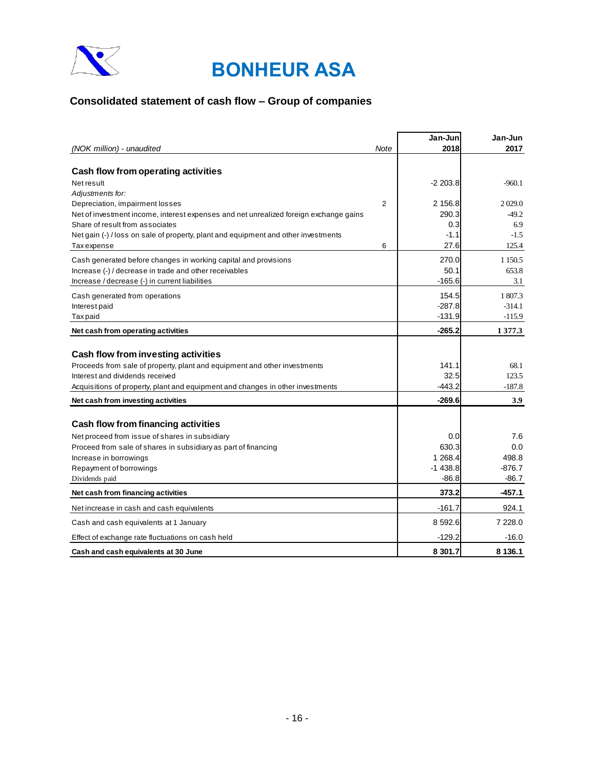

## **Consolidated statement of cash flow – Group of companies**

|                                                                                                                          |                | Jan-Jun              | Jan-Jun           |
|--------------------------------------------------------------------------------------------------------------------------|----------------|----------------------|-------------------|
| (NOK million) - unaudited                                                                                                | Note           | 2018                 | 2017              |
|                                                                                                                          |                |                      |                   |
| Cash flow from operating activities                                                                                      |                |                      |                   |
| Net result                                                                                                               |                | $-2203.8$            | $-960.1$          |
| Adjustments for:                                                                                                         |                |                      |                   |
| Depreciation, impairment losses                                                                                          | $\overline{2}$ | 2 156.8              | 2029.0            |
| Net of investment income, interest expenses and net unrealized foreign exchange gains<br>Share of result from associates |                | 290.3<br>0.3         | $-49.2$<br>6.9    |
| Net gain (-) / loss on sale of property, plant and equipment and other investments                                       |                | $-1.1$               | $-1.5$            |
| Tax expense                                                                                                              | 6              | 27.6                 | 125.4             |
| Cash generated before changes in working capital and provisions                                                          |                | 270.0                | 1 1 5 0 . 5       |
| Increase (-) / decrease in trade and other receivables                                                                   |                | 50.1                 | 653.8             |
| Increase / decrease (-) in current liabilities                                                                           |                | $-165.6$             | 3.1               |
|                                                                                                                          |                | 154.5                | 1 807.3           |
| Cash generated from operations<br>Interest paid                                                                          |                | $-287.8$             | $-314.1$          |
| Tax paid                                                                                                                 |                | $-131.9$             | $-115.9$          |
| Net cash from operating activities                                                                                       |                | $-265.2$             | 1 377.3           |
|                                                                                                                          |                |                      |                   |
| Cash flow from investing activities                                                                                      |                |                      |                   |
| Proceeds from sale of property, plant and equipment and other investments                                                |                | 141.1                | 68.1              |
| Interest and dividends received                                                                                          |                | 32.5                 | 123.5             |
| Acquisitions of property, plant and equipment and changes in other investments                                           |                | $-443.2$             | $-187.8$          |
| Net cash from investing activities                                                                                       |                | $-269.6$             | 3.9               |
|                                                                                                                          |                |                      |                   |
| Cash flow from financing activities                                                                                      |                |                      |                   |
| Net proceed from issue of shares in subsidiary                                                                           |                | 0.0                  | 7.6               |
| Proceed from sale of shares in subsidiary as part of financing                                                           |                | 630.3                | 0.0               |
| Increase in borrowings                                                                                                   |                | 1 268.4<br>$-1438.8$ | 498.8<br>$-876.7$ |
| Repayment of borrowings<br>Dividends paid                                                                                |                | -86.8                | -86.7             |
| Net cash from financing activities                                                                                       |                | 373.2                | -457.1            |
|                                                                                                                          |                | $-161.7$             |                   |
| Net increase in cash and cash equivalents                                                                                |                |                      | 924.1             |
| Cash and cash equivalents at 1 January                                                                                   |                | 8 592.6              | 7 228.0           |
| Effect of exchange rate fluctuations on cash held                                                                        |                | $-129.2$             | $-16.0$           |
| Cash and cash equivalents at 30 June                                                                                     |                | 8 301.7              | 8 136.1           |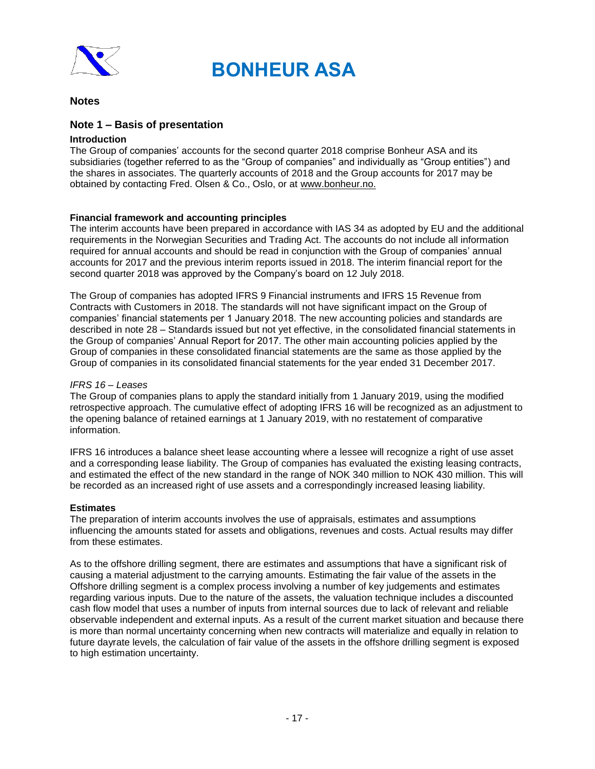

### **Notes**

### **Note 1 – Basis of presentation**

### **Introduction**

The Group of companies' accounts for the second quarter 2018 comprise Bonheur ASA and its subsidiaries (together referred to as the "Group of companies" and individually as "Group entities") and the shares in associates. The quarterly accounts of 2018 and the Group accounts for 2017 may be obtained by contacting Fred. Olsen & Co., Oslo, or at www.bonheur.no.

### **Financial framework and accounting principles**

The interim accounts have been prepared in accordance with IAS 34 as adopted by EU and the additional requirements in the Norwegian Securities and Trading Act. The accounts do not include all information required for annual accounts and should be read in conjunction with the Group of companies' annual accounts for 2017 and the previous interim reports issued in 2018. The interim financial report for the second quarter 2018 was approved by the Company's board on 12 July 2018.

The Group of companies has adopted IFRS 9 Financial instruments and IFRS 15 Revenue from Contracts with Customers in 2018. The standards will not have significant impact on the Group of companies' financial statements per 1 January 2018. The new accounting policies and standards are described in note 28 – Standards issued but not yet effective, in the consolidated financial statements in the Group of companies' Annual Report for 2017. The other main accounting policies applied by the Group of companies in these consolidated financial statements are the same as those applied by the Group of companies in its consolidated financial statements for the year ended 31 December 2017.

### *IFRS 16 – Leases*

The Group of companies plans to apply the standard initially from 1 January 2019, using the modified retrospective approach. The cumulative effect of adopting IFRS 16 will be recognized as an adjustment to the opening balance of retained earnings at 1 January 2019, with no restatement of comparative information.

IFRS 16 introduces a balance sheet lease accounting where a lessee will recognize a right of use asset and a corresponding lease liability. The Group of companies has evaluated the existing leasing contracts, and estimated the effect of the new standard in the range of NOK 340 million to NOK 430 million. This will be recorded as an increased right of use assets and a correspondingly increased leasing liability.

### **Estimates**

The preparation of interim accounts involves the use of appraisals, estimates and assumptions influencing the amounts stated for assets and obligations, revenues and costs. Actual results may differ from these estimates.

As to the offshore drilling segment, there are estimates and assumptions that have a significant risk of causing a material adjustment to the carrying amounts. Estimating the fair value of the assets in the Offshore drilling segment is a complex process involving a number of key judgements and estimates regarding various inputs. Due to the nature of the assets, the valuation technique includes a discounted cash flow model that uses a number of inputs from internal sources due to lack of relevant and reliable observable independent and external inputs. As a result of the current market situation and because there is more than normal uncertainty concerning when new contracts will materialize and equally in relation to future dayrate levels, the calculation of fair value of the assets in the offshore drilling segment is exposed to high estimation uncertainty.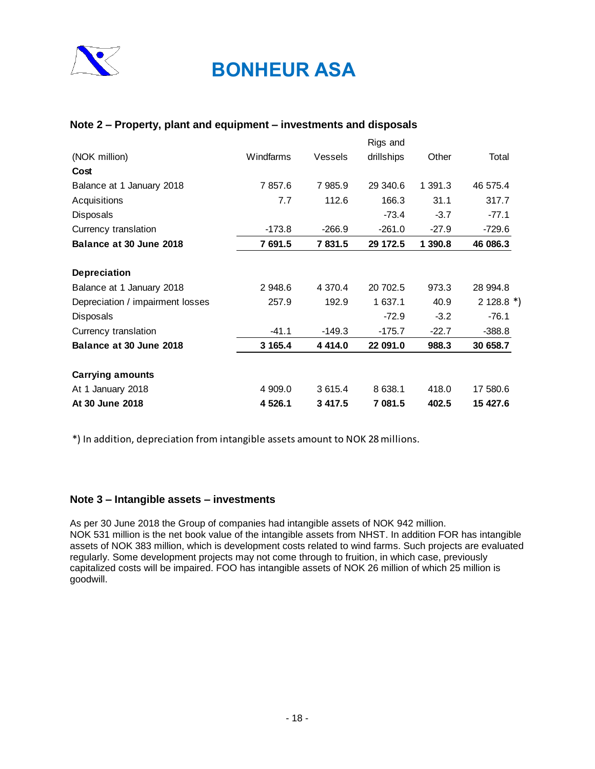

### **Note 2 – Property, plant and equipment – investments and disposals**

|                                  |           |             | Rigs and   |         |            |
|----------------------------------|-----------|-------------|------------|---------|------------|
| (NOK million)                    | Windfarms | Vessels     | drillships | Other   | Total      |
| Cost                             |           |             |            |         |            |
| Balance at 1 January 2018        | 7857.6    | 7 985.9     | 29 340.6   | 1 391.3 | 46 575.4   |
| Acquisitions                     | 7.7       | 112.6       | 166.3      | 31.1    | 317.7      |
| <b>Disposals</b>                 |           |             | $-73.4$    | $-3.7$  | $-77.1$    |
| Currency translation             | $-173.8$  | $-266.9$    | $-261.0$   | $-27.9$ | $-729.6$   |
| Balance at 30 June 2018          | 7 691.5   | 7831.5      | 29 172.5   | 1 390.8 | 46 086.3   |
| <b>Depreciation</b>              |           |             |            |         |            |
| Balance at 1 January 2018        | 2 948.6   | 4 3 7 0 . 4 | 20 702.5   | 973.3   | 28 994.8   |
| Depreciation / impairment losses | 257.9     | 192.9       | 1 637.1    | 40.9    | $2128.8*)$ |
| <b>Disposals</b>                 |           |             | $-72.9$    | $-3.2$  | $-76.1$    |
| Currency translation             | $-41.1$   | $-149.3$    | $-175.7$   | $-22.7$ | $-388.8$   |
| Balance at 30 June 2018          | 3 165.4   | 4 4 1 4 .0  | 22 091.0   | 988.3   | 30 658.7   |
| <b>Carrying amounts</b>          |           |             |            |         |            |
| At 1 January 2018                | 4 909.0   | 3 6 1 5 . 4 | 8 638.1    | 418.0   | 17 580.6   |
| At 30 June 2018                  | 4 526.1   | 3 4 1 7 . 5 | 7 081.5    | 402.5   | 15 427.6   |

\*) In addition, depreciation from intangible assets amount to NOK 28 millions.

### **Note 3 – Intangible assets – investments**

As per 30 June 2018 the Group of companies had intangible assets of NOK 942 million. NOK 531 million is the net book value of the intangible assets from NHST. In addition FOR has intangible assets of NOK 383 million, which is development costs related to wind farms. Such projects are evaluated regularly. Some development projects may not come through to fruition, in which case, previously capitalized costs will be impaired. FOO has intangible assets of NOK 26 million of which 25 million is goodwill.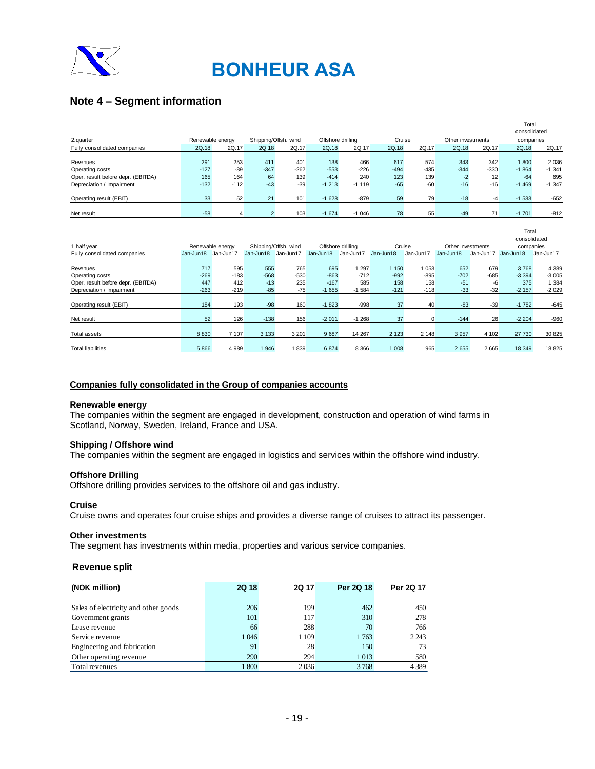

## **Note 4 – Segment information**

|                                    |                  |        |                      |        |                   |         |        |        |                   |        | ιυιαι<br>consolidated |          |
|------------------------------------|------------------|--------|----------------------|--------|-------------------|---------|--------|--------|-------------------|--------|-----------------------|----------|
| 2.quarter                          | Renewable energy |        | Shipping/Offsh. wind |        | Offshore drilling |         | Cruise |        | Other investments |        | companies             |          |
| Fully consolidated companies       | 2Q.18            | 2Q.17  | 2Q.18                | 2Q.17  | 2Q.18             | 2Q.17   | 2Q.18  | 2Q.17  | 2Q.18             | 2Q.17  | 2Q.18                 | 2Q.17    |
|                                    |                  |        |                      |        |                   |         |        |        |                   |        |                       |          |
| Revenues                           | 291              | 253    | 411                  | 401    | 138               | 466     | 617    | 574    | 343               | 342    | 1800                  | 2 0 3 6  |
| Operating costs                    | $-127$           | $-89$  | $-347$               | $-262$ | $-553$            | $-226$  | $-494$ | $-435$ | $-344$            | $-330$ | $-1864$               | $-1.341$ |
| Oper. result before depr. (EBITDA) | 165              | 164    | 64                   | 139    | $-414$            | 240     | 123    | 139    | $-2$              | 12     | $-64$                 | 695      |
| Depreciation / Impairment          | $-132$           | $-112$ | $-43$                | $-39$  | $-1213$           | $-1119$ | $-65$  | $-60$  | $-16$             | $-16$  | $-1469$               | $-1.347$ |
|                                    |                  |        |                      |        |                   |         |        |        |                   |        |                       |          |
| Operating result (EBIT)            | 33               | 52     | 21                   | 101    | $-1628$           | $-879$  | 59     | 79     | $-18$             | -4     | $-1533$               | $-652$   |
|                                    |                  |        |                      |        |                   |         |        |        |                   |        |                       |          |
| Net result                         | $-58$            |        |                      | 103    | $-1674$           | $-1046$ | 78     | 55     | $-49$             | 71     | $-1701$               | $-812$   |

Total

|                                    |           |                  |           |                      |                   |           |           |           |                   |           | Total<br>consolidated |           |
|------------------------------------|-----------|------------------|-----------|----------------------|-------------------|-----------|-----------|-----------|-------------------|-----------|-----------------------|-----------|
| 1 half year                        |           | Renewable energy |           | Shipping/Offsh. wind | Offshore drilling |           | Cruise    |           | Other investments |           | companies             |           |
| Fully consolidated companies       | Jan-Jun18 | Jan-Jun17        | Jan-Jun18 | Jan-Jun17            | Jan-Jun18         | Jan-Jun17 | Jan-Jun18 | Jan-Jun17 | Jan-Jun18         | Jan-Jun17 | Jan-Jun18             | Jan-Jun17 |
|                                    |           |                  |           |                      |                   |           |           |           |                   |           |                       |           |
| Revenues                           | 717       | 595              | 555       | 765                  | 695               | 1 2 9 7   | 1 1 5 0   | 1053      | 652               | 679       | 3768                  | 4 3 8 9   |
| Operating costs                    | $-269$    | $-183$           | $-568$    | $-530$               | $-863$            | $-712$    | $-992$    | $-895$    | $-702$            | $-685$    | $-3394$               | $-3005$   |
| Oper. result before depr. (EBITDA) | 447       | 412              | $-13$     | 235                  | $-167$            | 585       | 158       | 158       | $-51$             | $-6$      | 375                   | 1 3 8 4   |
| Depreciation / Impairment          | $-263$    | $-219$           | $-85$     | $-75$                | $-1655$           | $-1,584$  | $-121$    | $-118$    | $-33$             | $-32$     | $-2157$               | $-2029$   |
|                                    |           |                  |           |                      |                   |           |           |           |                   |           |                       |           |
| Operating result (EBIT)            | 184       | 193              | $-98$     | 160                  | $-1823$           | $-998$    | 37        | 40        | $-83$             | $-39$     | $-1782$               | $-645$    |
|                                    |           |                  |           |                      |                   |           |           |           |                   |           |                       |           |
| Net result                         | 52        | 126              | $-138$    | 156                  | $-2011$           | $-1268$   | 37        | 0         | $-144$            | 26        | $-2204$               | $-960$    |
|                                    |           |                  |           |                      |                   |           |           |           |                   |           |                       |           |
| Total assets                       | 8 8 3 0   | 7 107            | 3 1 3 3   | 3 2 0 1              | 9687              | 14 267    | 2 1 2 3   | 2 1 4 8   | 3 9 5 7           | 4 102     | 27 730                | 30 825    |
|                                    |           |                  |           |                      |                   |           |           |           |                   |           |                       |           |
| <b>Total liabilities</b>           | 5 8 6 6   | 4 9 8 9          | 946       | 1839                 | 6874              | 8 3 6 6   | 1 008     | 965       | 2655              | 2 6 6 5   | 18 349                | 18 8 25   |

### **Companies fully consolidated in the Group of companies accounts**

### **Renewable energy**

The companies within the segment are engaged in development, construction and operation of wind farms in Scotland, Norway, Sweden, Ireland, France and USA.

### **Shipping / Offshore wind**

The companies within the segment are engaged in logistics and services within the offshore wind industry.

### **Offshore Drilling**

Offshore drilling provides services to the offshore oil and gas industry.

### **Cruise**

Cruise owns and operates four cruise ships and provides a diverse range of cruises to attract its passenger.

#### **Other investments**

The segment has investments within media, properties and various service companies.

### **Revenue split**

| (NOK million)                        | 2Q 18 | <b>2Q 17</b> | Per 2Q 18 | Per 2Q 17 |
|--------------------------------------|-------|--------------|-----------|-----------|
| Sales of electricity and other goods | 206   | 199          | 462       | 450       |
| Government grants                    | 101   | 117          | 310       | 278       |
| Lease revenue                        | 66    | 288          | 70        | 766       |
| Service revenue                      | 1046  | 1 109        | 1763      | 2 2 4 3   |
| Engineering and fabrication          | 91    | 28           | 150       | 73        |
| Other operating revenue              | 290   | 294          | 1 0 1 3   | 580       |
| Total revenues                       | 1800  | 2036         | 3768      | 4 3 8 9   |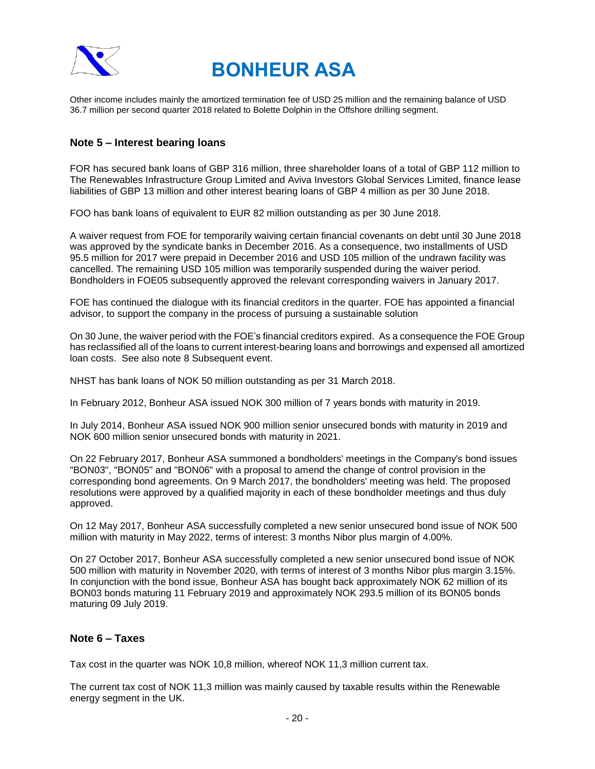

Other income includes mainly the amortized termination fee of USD 25 million and the remaining balance of USD 36.7 million per second quarter 2018 related to Bolette Dolphin in the Offshore drilling segment.

### **Note 5 – Interest bearing loans**

FOR has secured bank loans of GBP 316 million, three shareholder loans of a total of GBP 112 million to The Renewables Infrastructure Group Limited and Aviva Investors Global Services Limited, finance lease liabilities of GBP 13 million and other interest bearing loans of GBP 4 million as per 30 June 2018.

FOO has bank loans of equivalent to EUR 82 million outstanding as per 30 June 2018.

A waiver request from FOE for temporarily waiving certain financial covenants on debt until 30 June 2018 was approved by the syndicate banks in December 2016. As a consequence, two installments of USD 95.5 million for 2017 were prepaid in December 2016 and USD 105 million of the undrawn facility was cancelled. The remaining USD 105 million was temporarily suspended during the waiver period. Bondholders in FOE05 subsequently approved the relevant corresponding waivers in January 2017.

FOE has continued the dialogue with its financial creditors in the quarter. FOE has appointed a financial advisor, to support the company in the process of pursuing a sustainable solution

On 30 June, the waiver period with the FOE's financial creditors expired. As a consequence the FOE Group has reclassified all of the loans to current interest-bearing loans and borrowings and expensed all amortized loan costs. See also note 8 Subsequent event.

NHST has bank loans of NOK 50 million outstanding as per 31 March 2018.

In February 2012, Bonheur ASA issued NOK 300 million of 7 years bonds with maturity in 2019.

In July 2014, Bonheur ASA issued NOK 900 million senior unsecured bonds with maturity in 2019 and NOK 600 million senior unsecured bonds with maturity in 2021.

On 22 February 2017, Bonheur ASA summoned a bondholders' meetings in the Company's bond issues "BON03", "BON05" and "BON06" with a proposal to amend the change of control provision in the corresponding bond agreements. On 9 March 2017, the bondholders' meeting was held. The proposed resolutions were approved by a qualified majority in each of these bondholder meetings and thus duly approved.

On 12 May 2017, Bonheur ASA successfully completed a new senior unsecured bond issue of NOK 500 million with maturity in May 2022, terms of interest: 3 months Nibor plus margin of 4.00%.

On 27 October 2017, Bonheur ASA successfully completed a new senior unsecured bond issue of NOK 500 million with maturity in November 2020, with terms of interest of 3 months Nibor plus margin 3.15%. In conjunction with the bond issue, Bonheur ASA has bought back approximately NOK 62 million of its BON03 bonds maturing 11 February 2019 and approximately NOK 293.5 million of its BON05 bonds maturing 09 July 2019.

### **Note 6 – Taxes**

Tax cost in the quarter was NOK 10,8 million, whereof NOK 11,3 million current tax.

The current tax cost of NOK 11,3 million was mainly caused by taxable results within the Renewable energy segment in the UK.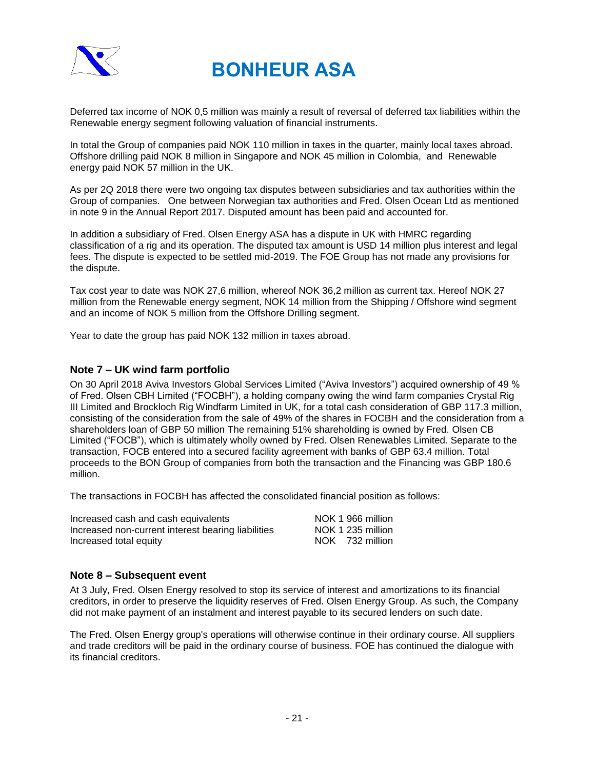

Deferred tax income of NOK 0,5 million was mainly a result of reversal of deferred tax liabilities within the Renewable energy segment following valuation of financial instruments.

In total the Group of companies paid NOK 110 million in taxes in the quarter, mainly local taxes abroad. Offshore drilling paid NOK 8 million in Singapore and NOK 45 million in Colombia, and Renewable energy paid NOK 57 million in the UK.

As per 2Q 2018 there were two ongoing tax disputes between subsidiaries and tax authorities within the Group of companies. One between Norwegian tax authorities and Fred. Olsen Ocean Ltd as mentioned in note 9 in the Annual Report 2017. Disputed amount has been paid and accounted for.

In addition a subsidiary of Fred. Olsen Energy ASA has a dispute in UK with HMRC regarding classification of a rig and its operation. The disputed tax amount is USD 14 million plus interest and legal fees. The dispute is expected to be settled mid-2019. The FOE Group has not made any provisions for the dispute.

Tax cost year to date was NOK 27,6 million, whereof NOK 36,2 million as current tax. Hereof NOK 27 million from the Renewable energy segment, NOK 14 million from the Shipping / Offshore wind segment and an income of NOK 5 million from the Offshore Drilling segment.

Year to date the group has paid NOK 132 million in taxes abroad.

### **Note 7 – UK wind farm portfolio**

On 30 April 2018 Aviva Investors Global Services Limited ("Aviva Investors") acquired ownership of 49 % of Fred. Olsen CBH Limited ("FOCBH"), a holding company owing the wind farm companies Crystal Rig III Limited and Brockloch Rig Windfarm Limited in UK, for a total cash consideration of GBP 117.3 million, consisting of the consideration from the sale of 49% of the shares in FOCBH and the consideration from a shareholders loan of GBP 50 million The remaining 51% shareholding is owned by Fred. Olsen CB Limited ("FOCB"), which is ultimately wholly owned by Fred. Olsen Renewables Limited. Separate to the transaction, FOCB entered into a secured facility agreement with banks of GBP 63.4 million. Total proceeds to the BON Group of companies from both the transaction and the Financing was GBP 180.6 million.

The transactions in FOCBH has affected the consolidated financial position as follows:

| Increased cash and cash equivalents                | NOK 1 966 million |
|----------------------------------------------------|-------------------|
| Increased non-current interest bearing liabilities | NOK 1 235 million |
| Increased total equity                             | NOK 732 million   |

### **Note 8 – Subsequent event**

At 3 July, Fred. Olsen Energy resolved to stop its service of interest and amortizations to its financial creditors, in order to preserve the liquidity reserves of Fred. Olsen Energy Group. As such, the Company did not make payment of an instalment and interest payable to its secured lenders on such date.

The Fred. Olsen Energy group's operations will otherwise continue in their ordinary course. All suppliers and trade creditors will be paid in the ordinary course of business. FOE has continued the dialogue with its financial creditors.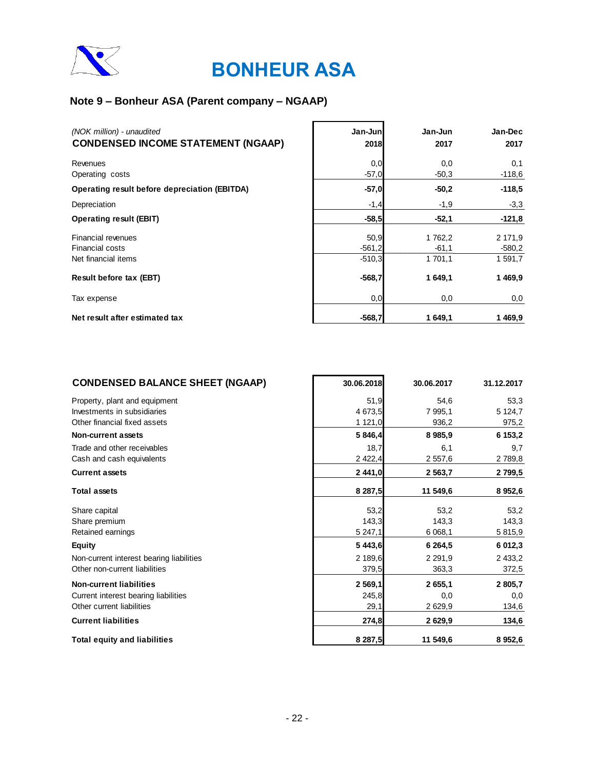

## **Note 9 – Bonheur ASA (Parent company – NGAAP)**

| (NOK million) - unaudited<br><b>CONDENSED INCOME STATEMENT (NGAAP)</b> | Jan-Junl<br>2018             | Jan-Jun<br>2017               | Jan-Dec<br>2017                |
|------------------------------------------------------------------------|------------------------------|-------------------------------|--------------------------------|
| Revenues<br>Operating costs                                            | 0,0<br>$-57,0$               | 0,0<br>$-50,3$                | 0,1<br>$-118,6$                |
| Operating result before depreciation (EBITDA)                          | $-57,0$                      | $-50.2$                       | $-118.5$                       |
| Depreciation                                                           | $-1,4$                       | $-1,9$                        | $-3,3$                         |
| <b>Operating result (EBIT)</b>                                         | $-58,5$                      | $-52,1$                       | $-121,8$                       |
| <b>Financial revenues</b><br>Financial costs<br>Net financial items    | 50,9<br>$-561,2$<br>$-510.3$ | 1 762,2<br>$-61.1$<br>1 701,1 | 2 171,9<br>$-580,2$<br>1 591,7 |
| Result before tax (EBT)                                                | $-568,7$                     | 1 649,1                       | 1469,9                         |
| Tax expense                                                            | 0,0                          | 0,0                           | 0,0                            |
| Net result after estimated tax                                         | $-568,7$                     | 1 649,1                       | 1469,9                         |

| <b>CONDENSED BALANCE SHEET (NGAAP)</b>   | 30.06.2018  | 30.06.2017  | 31.12.2017 |
|------------------------------------------|-------------|-------------|------------|
| Property, plant and equipment            | 51,9        | 54.6        | 53,3       |
| Investments in subsidiaries              | 4 673,5     | 7 995,1     | 5 124,7    |
| Other financial fixed assets             | 1 121,0     | 936,2       | 975,2      |
| Non-current assets                       | 5 846,4     | 8 9 8 5 , 9 | 6 153,2    |
| Trade and other receivables              | 18,7        | 6,1         | 9,7        |
| Cash and cash equivalents                | 2 4 2 2, 4  | 2 557,6     | 2789,8     |
| <b>Current assets</b>                    | 2 441,0     | 2 5 6 3 , 7 | 2799,5     |
| <b>Total assets</b>                      | 8 287,5     | 11 549,6    | 8 9 5 2,6  |
| Share capital                            | 53,2        | 53,2        | 53,2       |
| Share premium                            | 143,3       | 143,3       | 143,3      |
| Retained earnings                        | 5 247,1     | 6 0 68,1    | 5 815,9    |
| <b>Equity</b>                            | 5 4 4 3 , 6 | 6 2 6 4 , 5 | 6 012,3    |
| Non-current interest bearing liabilities | 2 189,6     | 2 2 9 1 , 9 | 2 433,2    |
| Other non-current liabilities            | 379,5       | 363,3       | 372,5      |
| <b>Non-current liabilities</b>           | 2 569,1     | 2655,1      | 2 805,7    |
| Current interest bearing liabilities     | 245,8       | 0,0         | 0,0        |
| Other current liabilities                | 29,1        | 2629,9      | 134,6      |
| <b>Current liabilities</b>               | 274,8       | 2629,9      | 134,6      |
| <b>Total equity and liabilities</b>      | 8 287,5     | 11 549,6    | 8 9 5 2,6  |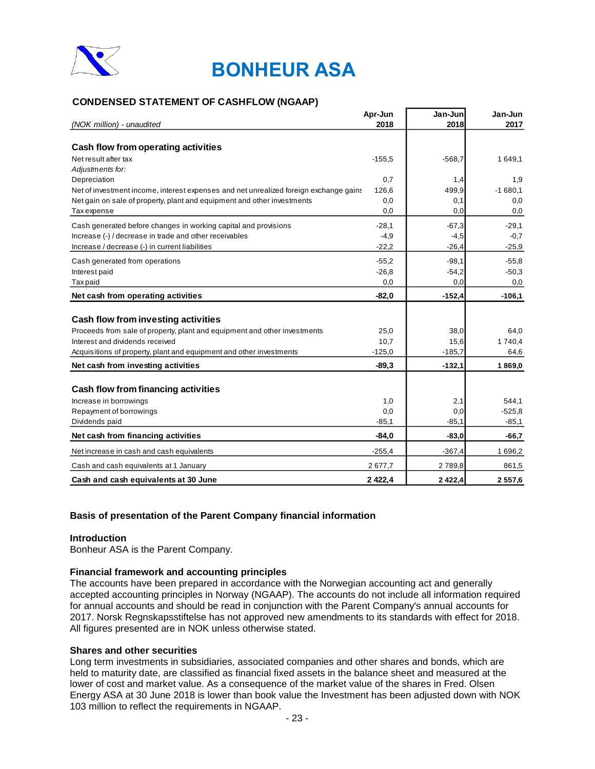

### **CONDENSED STATEMENT OF CASHFLOW (NGAAP)**

|                                                                                       | Apr-Jun<br>2018 | Jan-Junl<br>2018 | Jan-Jun<br>2017 |
|---------------------------------------------------------------------------------------|-----------------|------------------|-----------------|
| (NOK million) - unaudited                                                             |                 |                  |                 |
| Cash flow from operating activities                                                   |                 |                  |                 |
| Net result after tax                                                                  | $-155,5$        | $-568,7$         | 1649,1          |
| Adjustments for:                                                                      |                 |                  |                 |
| Depreciation                                                                          | 0,7             | 1,4              | 1,9             |
| Net of investment income, interest expenses and net unrealized foreign exchange gains | 126,6           | 499,9            | $-1680,1$       |
| Net gain on sale of property, plant and equipment and other investments               | 0,0             | 0,1              | 0,0             |
| <b>Taxexpense</b>                                                                     | 0,0             | 0,0              | 0,0             |
| Cash generated before changes in working capital and provisions                       | $-28.1$         | $-67.3$          | $-29.1$         |
| Increase (-) / decrease in trade and other receivables                                | $-4,9$          | $-4,5$           | $-0,7$          |
| Increase / decrease (-) in current liabilities                                        | $-22.2$         | $-26,4$          | $-25.9$         |
| Cash generated from operations                                                        | $-55,2$         | $-98.1$          | $-55,8$         |
| Interest paid                                                                         | $-26,8$         | $-54,2$          | $-50,3$         |
| <b>Taxpaid</b>                                                                        | 0,0             | 0,0              | 0,0             |
| Net cash from operating activities                                                    | $-82,0$         | $-152,4$         | $-106,1$        |
|                                                                                       |                 |                  |                 |
| Cash flow from investing activities                                                   |                 |                  |                 |
| Proceeds from sale of property, plant and equipment and other investments             | 25,0            | 38,0             | 64.0            |
| Interest and dividends received                                                       | 10,7            | 15,6             | 1740,4          |
| Acquisitions of property, plant and equipment and other investments                   | $-125,0$        | $-185,7$         | 64,6            |
| Net cash from investing activities                                                    | $-89.3$         | $-132,1$         | 1869,0          |
|                                                                                       |                 |                  |                 |
| Cash flow from financing activities                                                   |                 |                  |                 |
| Increase in borrowings                                                                | 1,0             | 2,1              | 544,1           |
| Repayment of borrowings                                                               | 0,0             | 0,0              | $-525.8$        |
| Dividends paid                                                                        | $-85,1$         | $-85,1$          | $-85.1$         |
| Net cash from financing activities                                                    | $-84,0$         | $-83,0$          | $-66,7$         |
| Net increase in cash and cash equivalents                                             | $-255,4$        | $-367,4$         | 1696,2          |
| Cash and cash equivalents at 1 January                                                | 2677,7          | 2789,8           | 861,5           |
| Cash and cash equivalents at 30 June                                                  | 2 4 2 2.4       | 2422.4           | 2 5 5 7 .6      |

### **Basis of presentation of the Parent Company financial information**

### **Introduction**

Bonheur ASA is the Parent Company.

### **Financial framework and accounting principles**

The accounts have been prepared in accordance with the Norwegian accounting act and generally accepted accounting principles in Norway (NGAAP). The accounts do not include all information required for annual accounts and should be read in conjunction with the Parent Company's annual accounts for 2017. Norsk Regnskapsstiftelse has not approved new amendments to its standards with effect for 2018. All figures presented are in NOK unless otherwise stated.

### **Shares and other securities**

Long term investments in subsidiaries, associated companies and other shares and bonds, which are held to maturity date, are classified as financial fixed assets in the balance sheet and measured at the lower of cost and market value. As a consequence of the market value of the shares in Fred. Olsen Energy ASA at 30 June 2018 is lower than book value the Investment has been adjusted down with NOK 103 million to reflect the requirements in NGAAP.